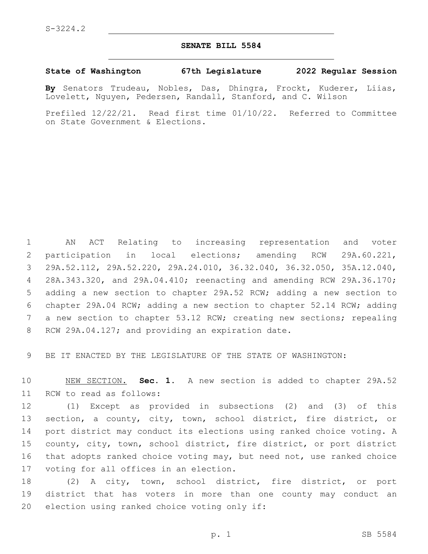## **SENATE BILL 5584**

## **State of Washington 67th Legislature 2022 Regular Session**

**By** Senators Trudeau, Nobles, Das, Dhingra, Frockt, Kuderer, Liias, Lovelett, Nguyen, Pedersen, Randall, Stanford, and C. Wilson

Prefiled 12/22/21. Read first time 01/10/22. Referred to Committee on State Government & Elections.

 AN ACT Relating to increasing representation and voter participation in local elections; amending RCW 29A.60.221, 29A.52.112, 29A.52.220, 29A.24.010, 36.32.040, 36.32.050, 35A.12.040, 28A.343.320, and 29A.04.410; reenacting and amending RCW 29A.36.170; adding a new section to chapter 29A.52 RCW; adding a new section to chapter 29A.04 RCW; adding a new section to chapter 52.14 RCW; adding 7 a new section to chapter 53.12 RCW; creating new sections; repealing 8 RCW 29A.04.127; and providing an expiration date.

9 BE IT ENACTED BY THE LEGISLATURE OF THE STATE OF WASHINGTON:

10 NEW SECTION. **Sec. 1.** A new section is added to chapter 29A.52 11 RCW to read as follows:

 (1) Except as provided in subsections (2) and (3) of this section, a county, city, town, school district, fire district, or port district may conduct its elections using ranked choice voting. A county, city, town, school district, fire district, or port district that adopts ranked choice voting may, but need not, use ranked choice 17 voting for all offices in an election.

18 (2) A city, town, school district, fire district, or port 19 district that has voters in more than one county may conduct an 20 election using ranked choice voting only if: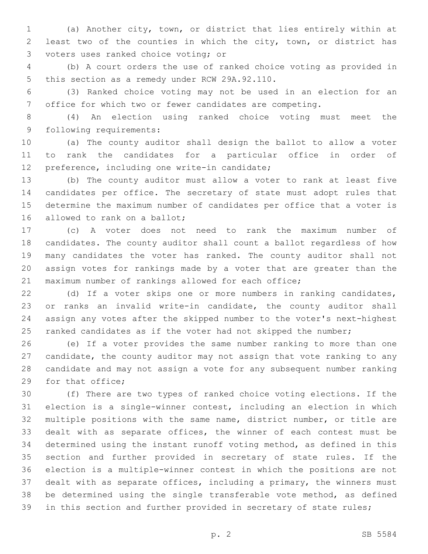(a) Another city, town, or district that lies entirely within at least two of the counties in which the city, town, or district has 3 voters uses ranked choice voting; or

 (b) A court orders the use of ranked choice voting as provided in 5 this section as a remedy under RCW 29A.92.110.

 (3) Ranked choice voting may not be used in an election for an office for which two or fewer candidates are competing.

 (4) An election using ranked choice voting must meet the 9 following requirements:

 (a) The county auditor shall design the ballot to allow a voter to rank the candidates for a particular office in order of 12 preference, including one write-in candidate;

 (b) The county auditor must allow a voter to rank at least five candidates per office. The secretary of state must adopt rules that determine the maximum number of candidates per office that a voter is 16 allowed to rank on a ballot;

 (c) A voter does not need to rank the maximum number of candidates. The county auditor shall count a ballot regardless of how many candidates the voter has ranked. The county auditor shall not assign votes for rankings made by a voter that are greater than the maximum number of rankings allowed for each office;

 (d) If a voter skips one or more numbers in ranking candidates, or ranks an invalid write-in candidate, the county auditor shall assign any votes after the skipped number to the voter's next-highest 25 ranked candidates as if the voter had not skipped the number;

 (e) If a voter provides the same number ranking to more than one candidate, the county auditor may not assign that vote ranking to any candidate and may not assign a vote for any subsequent number ranking 29 for that office;

 (f) There are two types of ranked choice voting elections. If the election is a single-winner contest, including an election in which multiple positions with the same name, district number, or title are dealt with as separate offices, the winner of each contest must be determined using the instant runoff voting method, as defined in this section and further provided in secretary of state rules. If the election is a multiple-winner contest in which the positions are not dealt with as separate offices, including a primary, the winners must be determined using the single transferable vote method, as defined 39 in this section and further provided in secretary of state rules;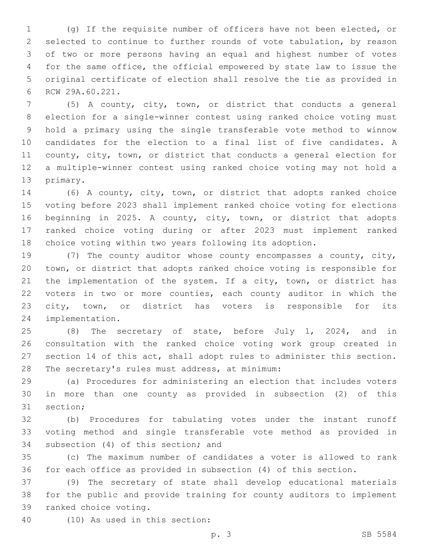(g) If the requisite number of officers have not been elected, or selected to continue to further rounds of vote tabulation, by reason of two or more persons having an equal and highest number of votes for the same office, the official empowered by state law to issue the original certificate of election shall resolve the tie as provided in 6 RCW 29A.60.221.

 (5) A county, city, town, or district that conducts a general election for a single-winner contest using ranked choice voting must hold a primary using the single transferable vote method to winnow candidates for the election to a final list of five candidates. A county, city, town, or district that conducts a general election for a multiple-winner contest using ranked choice voting may not hold a 13 primary.

 (6) A county, city, town, or district that adopts ranked choice voting before 2023 shall implement ranked choice voting for elections beginning in 2025. A county, city, town, or district that adopts ranked choice voting during or after 2023 must implement ranked choice voting within two years following its adoption.

 (7) The county auditor whose county encompasses a county, city, town, or district that adopts ranked choice voting is responsible for 21 the implementation of the system. If a city, town, or district has voters in two or more counties, each county auditor in which the city, town, or district has voters is responsible for its 24 implementation.

 (8) The secretary of state, before July 1, 2024, and in consultation with the ranked choice voting work group created in section 14 of this act, shall adopt rules to administer this section. 28 The secretary's rules must address, at minimum:

 (a) Procedures for administering an election that includes voters in more than one county as provided in subsection (2) of this 31 section;

 (b) Procedures for tabulating votes under the instant runoff voting method and single transferable vote method as provided in 34 subsection (4) of this section; and

 (c) The maximum number of candidates a voter is allowed to rank for each office as provided in subsection (4) of this section.

 (9) The secretary of state shall develop educational materials for the public and provide training for county auditors to implement 39 ranked choice voting.

(10) As used in this section:40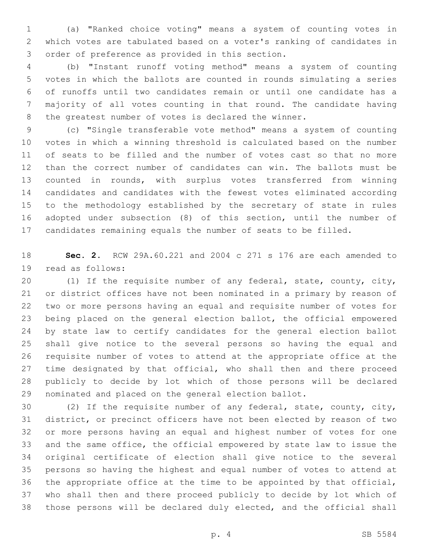(a) "Ranked choice voting" means a system of counting votes in which votes are tabulated based on a voter's ranking of candidates in 3 order of preference as provided in this section.

 (b) "Instant runoff voting method" means a system of counting votes in which the ballots are counted in rounds simulating a series of runoffs until two candidates remain or until one candidate has a majority of all votes counting in that round. The candidate having the greatest number of votes is declared the winner.

 (c) "Single transferable vote method" means a system of counting votes in which a winning threshold is calculated based on the number of seats to be filled and the number of votes cast so that no more than the correct number of candidates can win. The ballots must be counted in rounds, with surplus votes transferred from winning candidates and candidates with the fewest votes eliminated according to the methodology established by the secretary of state in rules adopted under subsection (8) of this section, until the number of candidates remaining equals the number of seats to be filled.

 **Sec. 2.** RCW 29A.60.221 and 2004 c 271 s 176 are each amended to 19 read as follows:

 (1) If the requisite number of any federal, state, county, city, or district offices have not been nominated in a primary by reason of two or more persons having an equal and requisite number of votes for being placed on the general election ballot, the official empowered by state law to certify candidates for the general election ballot shall give notice to the several persons so having the equal and requisite number of votes to attend at the appropriate office at the 27 time designated by that official, who shall then and there proceed publicly to decide by lot which of those persons will be declared nominated and placed on the general election ballot.

 (2) If the requisite number of any federal, state, county, city, district, or precinct officers have not been elected by reason of two or more persons having an equal and highest number of votes for one and the same office, the official empowered by state law to issue the original certificate of election shall give notice to the several persons so having the highest and equal number of votes to attend at the appropriate office at the time to be appointed by that official, who shall then and there proceed publicly to decide by lot which of those persons will be declared duly elected, and the official shall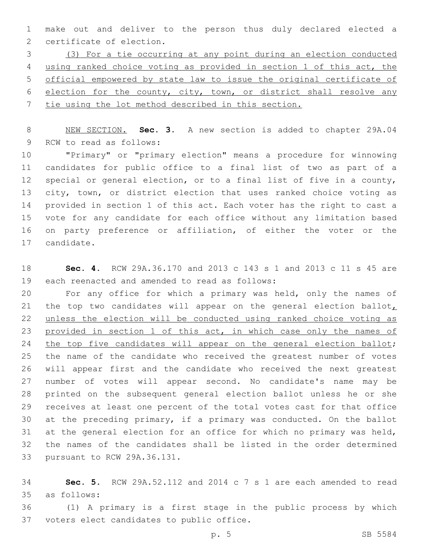make out and deliver to the person thus duly declared elected a 2 certificate of election.

 (3) For a tie occurring at any point during an election conducted using ranked choice voting as provided in section 1 of this act, the official empowered by state law to issue the original certificate of 6 election for the county, city, town, or district shall resolve any tie using the lot method described in this section.

 NEW SECTION. **Sec. 3.** A new section is added to chapter 29A.04 9 RCW to read as follows:

 "Primary" or "primary election" means a procedure for winnowing candidates for public office to a final list of two as part of a special or general election, or to a final list of five in a county, 13 city, town, or district election that uses ranked choice voting as provided in section 1 of this act. Each voter has the right to cast a vote for any candidate for each office without any limitation based on party preference or affiliation, of either the voter or the 17 candidate.

 **Sec. 4.** RCW 29A.36.170 and 2013 c 143 s 1 and 2013 c 11 s 45 are 19 each reenacted and amended to read as follows:

 For any office for which a primary was held, only the names of 21 the top two candidates will appear on the general election ballot, unless the election will be conducted using ranked choice voting as 23 provided in section 1 of this act, in which case only the names of 24 the top five candidates will appear on the general election ballot; the name of the candidate who received the greatest number of votes will appear first and the candidate who received the next greatest number of votes will appear second. No candidate's name may be printed on the subsequent general election ballot unless he or she receives at least one percent of the total votes cast for that office at the preceding primary, if a primary was conducted. On the ballot at the general election for an office for which no primary was held, the names of the candidates shall be listed in the order determined 33 pursuant to RCW 29A.36.131.

 **Sec. 5.** RCW 29A.52.112 and 2014 c 7 s 1 are each amended to read as follows:35

 (1) A primary is a first stage in the public process by which 37 voters elect candidates to public office.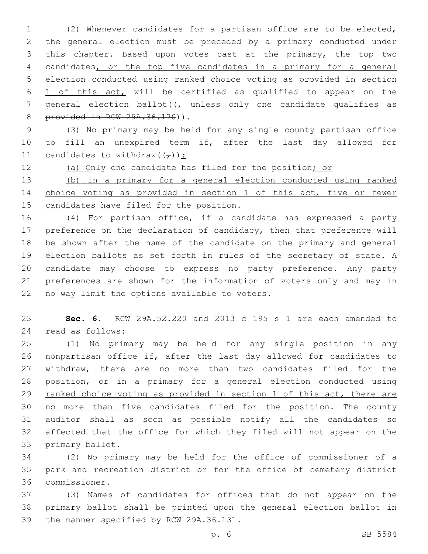(2) Whenever candidates for a partisan office are to be elected, the general election must be preceded by a primary conducted under this chapter. Based upon votes cast at the primary, the top two candidates, or the top five candidates in a primary for a general election conducted using ranked choice voting as provided in section 1 of this act, will be certified as qualified to appear on the 7 general election ballot((, unless only one candidate qualifies as 8 provided in RCW 29A.36.170)).

 (3) No primary may be held for any single county partisan office to fill an unexpired term if, after the last day allowed for 11 candidates to withdraw( $(\tau)$ ):

12 (a) Only one candidate has filed for the position; or

 (b) In a primary for a general election conducted using ranked choice voting as provided in section 1 of this act, five or fewer 15 candidates have filed for the position.

 (4) For partisan office, if a candidate has expressed a party 17 preference on the declaration of candidacy, then that preference will be shown after the name of the candidate on the primary and general election ballots as set forth in rules of the secretary of state. A candidate may choose to express no party preference. Any party preferences are shown for the information of voters only and may in 22 no way limit the options available to voters.

 **Sec. 6.** RCW 29A.52.220 and 2013 c 195 s 1 are each amended to 24 read as follows:

 (1) No primary may be held for any single position in any nonpartisan office if, after the last day allowed for candidates to withdraw, there are no more than two candidates filed for the position, or in a primary for a general election conducted using 29 ranked choice voting as provided in section 1 of this act, there are no more than five candidates filed for the position. The county auditor shall as soon as possible notify all the candidates so affected that the office for which they filed will not appear on the 33 primary ballot.

 (2) No primary may be held for the office of commissioner of a park and recreation district or for the office of cemetery district commissioner.36

 (3) Names of candidates for offices that do not appear on the primary ballot shall be printed upon the general election ballot in 39 the manner specified by RCW 29A.36.131.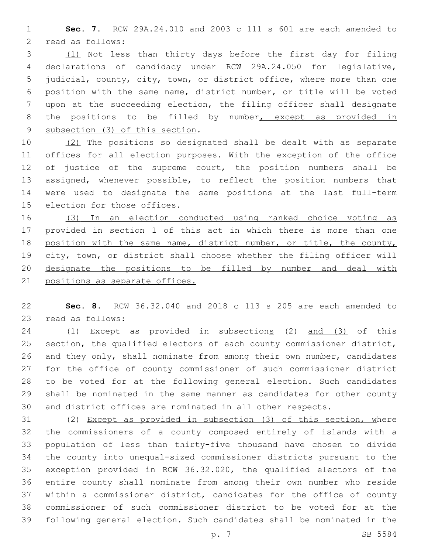**Sec. 7.** RCW 29A.24.010 and 2003 c 111 s 601 are each amended to 2 read as follows:

 (1) Not less than thirty days before the first day for filing declarations of candidacy under RCW 29A.24.050 for legislative, judicial, county, city, town, or district office, where more than one position with the same name, district number, or title will be voted upon at the succeeding election, the filing officer shall designate 8 the positions to be filled by number, except as provided in 9 subsection (3) of this section.

 (2) The positions so designated shall be dealt with as separate offices for all election purposes. With the exception of the office 12 of justice of the supreme court, the position numbers shall be assigned, whenever possible, to reflect the position numbers that were used to designate the same positions at the last full-term 15 election for those offices.

 (3) In an election conducted using ranked choice voting as provided in section 1 of this act in which there is more than one position with the same name, district number, or title, the county, 19 city, town, or district shall choose whether the filing officer will designate the positions to be filled by number and deal with positions as separate offices.

 **Sec. 8.** RCW 36.32.040 and 2018 c 113 s 205 are each amended to 23 read as follows:

24 (1) Except as provided in subsections (2) and (3) of this section, the qualified electors of each county commissioner district, and they only, shall nominate from among their own number, candidates for the office of county commissioner of such commissioner district to be voted for at the following general election. Such candidates shall be nominated in the same manner as candidates for other county and district offices are nominated in all other respects.

 (2) Except as provided in subsection (3) of this section, where the commissioners of a county composed entirely of islands with a population of less than thirty-five thousand have chosen to divide the county into unequal-sized commissioner districts pursuant to the exception provided in RCW 36.32.020, the qualified electors of the entire county shall nominate from among their own number who reside within a commissioner district, candidates for the office of county commissioner of such commissioner district to be voted for at the following general election. Such candidates shall be nominated in the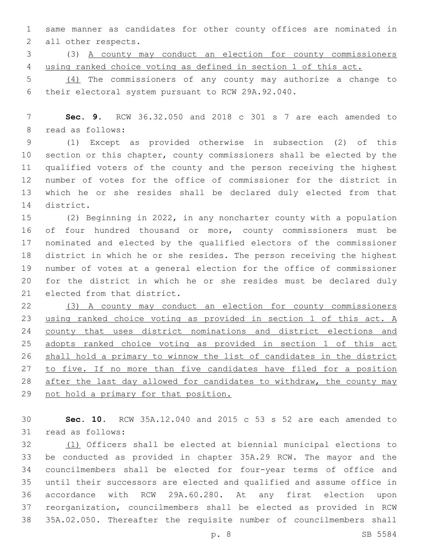same manner as candidates for other county offices are nominated in 2 all other respects.

 (3) A county may conduct an election for county commissioners using ranked choice voting as defined in section 1 of this act.

 (4) The commissioners of any county may authorize a change to 6 their electoral system pursuant to RCW 29A.92.040.

 **Sec. 9.** RCW 36.32.050 and 2018 c 301 s 7 are each amended to 8 read as follows:

 (1) Except as provided otherwise in subsection (2) of this section or this chapter, county commissioners shall be elected by the qualified voters of the county and the person receiving the highest number of votes for the office of commissioner for the district in which he or she resides shall be declared duly elected from that 14 district.

 (2) Beginning in 2022, in any noncharter county with a population of four hundred thousand or more, county commissioners must be nominated and elected by the qualified electors of the commissioner district in which he or she resides. The person receiving the highest number of votes at a general election for the office of commissioner for the district in which he or she resides must be declared duly 21 elected from that district.

 (3) A county may conduct an election for county commissioners using ranked choice voting as provided in section 1 of this act. A county that uses district nominations and district elections and adopts ranked choice voting as provided in section 1 of this act shall hold a primary to winnow the list of candidates in the district 27 to five. If no more than five candidates have filed for a position after the last day allowed for candidates to withdraw, the county may not hold a primary for that position.

 **Sec. 10.** RCW 35A.12.040 and 2015 c 53 s 52 are each amended to 31 read as follows:

 (1) Officers shall be elected at biennial municipal elections to be conducted as provided in chapter 35A.29 RCW. The mayor and the councilmembers shall be elected for four-year terms of office and until their successors are elected and qualified and assume office in accordance with RCW 29A.60.280. At any first election upon reorganization, councilmembers shall be elected as provided in RCW 35A.02.050. Thereafter the requisite number of councilmembers shall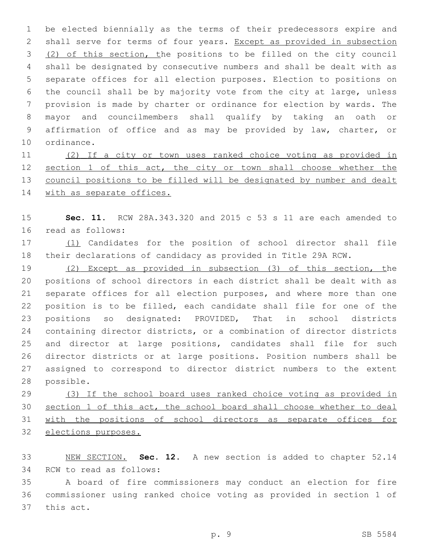be elected biennially as the terms of their predecessors expire and shall serve for terms of four years. Except as provided in subsection 3 (2) of this section, the positions to be filled on the city council shall be designated by consecutive numbers and shall be dealt with as separate offices for all election purposes. Election to positions on the council shall be by majority vote from the city at large, unless provision is made by charter or ordinance for election by wards. The mayor and councilmembers shall qualify by taking an oath or affirmation of office and as may be provided by law, charter, or 10 ordinance.

 (2) If a city or town uses ranked choice voting as provided in 12 section 1 of this act, the city or town shall choose whether the council positions to be filled will be designated by number and dealt 14 with as separate offices.

 **Sec. 11.** RCW 28A.343.320 and 2015 c 53 s 11 are each amended to 16 read as follows:

 (1) Candidates for the position of school director shall file their declarations of candidacy as provided in Title 29A RCW.

 (2) Except as provided in subsection (3) of this section, the positions of school directors in each district shall be dealt with as separate offices for all election purposes, and where more than one position is to be filled, each candidate shall file for one of the positions so designated: PROVIDED, That in school districts containing director districts, or a combination of director districts 25 and director at large positions, candidates shall file for such director districts or at large positions. Position numbers shall be assigned to correspond to director district numbers to the extent 28 possible.

 (3) If the school board uses ranked choice voting as provided in section 1 of this act, the school board shall choose whether to deal with the positions of school directors as separate offices for elections purposes.

 NEW SECTION. **Sec. 12.** A new section is added to chapter 52.14 34 RCW to read as follows:

 A board of fire commissioners may conduct an election for fire commissioner using ranked choice voting as provided in section 1 of 37 this act.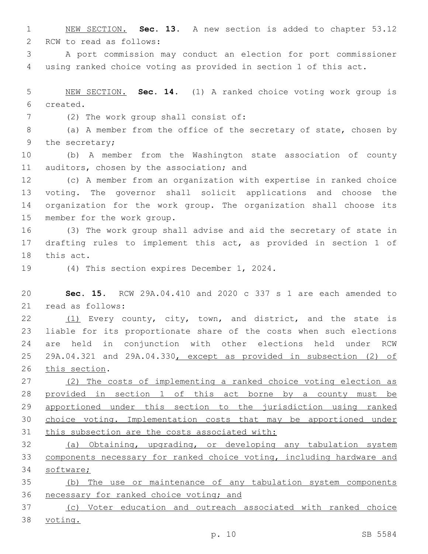NEW SECTION. **Sec. 13.** A new section is added to chapter 53.12 2 RCW to read as follows:

 A port commission may conduct an election for port commissioner using ranked choice voting as provided in section 1 of this act.

 NEW SECTION. **Sec. 14.** (1) A ranked choice voting work group is created.

(2) The work group shall consist of:7

 (a) A member from the office of the secretary of state, chosen by 9 the secretary;

 (b) A member from the Washington state association of county 11 auditors, chosen by the association; and

 (c) A member from an organization with expertise in ranked choice voting. The governor shall solicit applications and choose the organization for the work group. The organization shall choose its 15 member for the work group.

 (3) The work group shall advise and aid the secretary of state in drafting rules to implement this act, as provided in section 1 of 18 this act.

19 (4) This section expires December 1, 2024.

 **Sec. 15.** RCW 29A.04.410 and 2020 c 337 s 1 are each amended to 21 read as follows:

 (1) Every county, city, town, and district, and the state is liable for its proportionate share of the costs when such elections are held in conjunction with other elections held under RCW 29A.04.321 and 29A.04.330, except as provided in subsection (2) of 26 this section.

 (2) The costs of implementing a ranked choice voting election as provided in section 1 of this act borne by a county must be apportioned under this section to the jurisdiction using ranked choice voting. Implementation costs that may be apportioned under 31 this subsection are the costs associated with:

 (a) Obtaining, upgrading, or developing any tabulation system components necessary for ranked choice voting, including hardware and software;

 (b) The use or maintenance of any tabulation system components 36 necessary for ranked choice voting; and

 (c) Voter education and outreach associated with ranked choice voting.